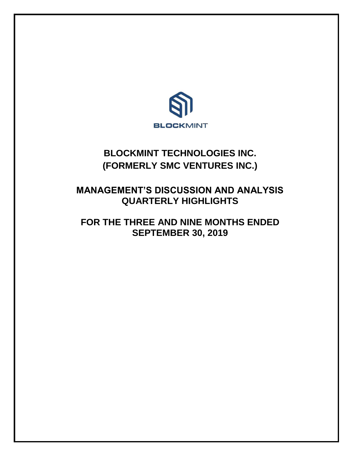

# **BLOCKMINT TECHNOLOGIES INC. (FORMERLY SMC VENTURES INC.)**

## **MANAGEMENT'S DISCUSSION AND ANALYSIS QUARTERLY HIGHLIGHTS**

## **FOR THE THREE AND NINE MONTHS ENDED SEPTEMBER 30, 2019**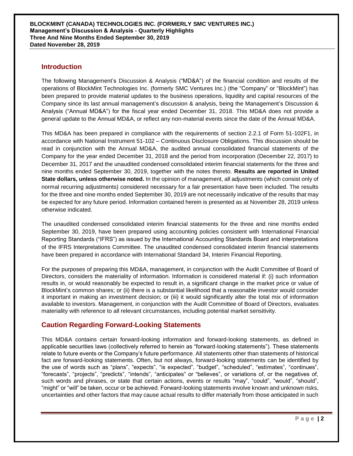## **Introduction**

The following Management's Discussion & Analysis ("MD&A") of the financial condition and results of the operations of BlockMint Technologies Inc. (formerly SMC Ventures Inc.) (the "Company" or "BlockMint") has been prepared to provide material updates to the business operations, liquidity and capital resources of the Company since its last annual management's discussion & analysis, being the Management's Discussion & Analysis ("Annual MD&A") for the fiscal year ended December 31, 2018. This MD&A does not provide a general update to the Annual MD&A, or reflect any non-material events since the date of the Annual MD&A.

This MD&A has been prepared in compliance with the requirements of section 2.2.1 of Form 51-102F1, in accordance with National Instrument 51-102 – Continuous Disclosure Obligations. This discussion should be read in conjunction with the Annual MD&A, the audited annual consolidated financial statements of the Company for the year ended December 31, 2018 and the period from incorporation (December 22, 2017) to December 31, 2017 and the unaudited condensed consolidated interim financial statements for the three and nine months ended September 30, 2019, together with the notes thereto. **Results are reported in United State dollars, unless otherwise noted.** In the opinion of management, all adjustments (which consist only of normal recurring adjustments) considered necessary for a fair presentation have been included. The results for the three and nine months ended September 30, 2019 are not necessarily indicative of the results that may be expected for any future period. Information contained herein is presented as at November 28, 2019 unless otherwise indicated.

The unaudited condensed consolidated interim financial statements for the three and nine months ended September 30, 2019, have been prepared using accounting policies consistent with International Financial Reporting Standards ("IFRS") as issued by the International Accounting Standards Board and interpretations of the IFRS Interpretations Committee. The unaudited condensed consolidated interim financial statements have been prepared in accordance with International Standard 34, Interim Financial Reporting.

For the purposes of preparing this MD&A, management, in conjunction with the Audit Committee of Board of Directors, considers the materiality of information. Information is considered material if: (i) such information results in, or would reasonably be expected to result in, a significant change in the market price or value of BlockMint's common shares; or (ii) there is a substantial likelihood that a reasonable investor would consider it important in making an investment decision; or (iii) it would significantly alter the total mix of information available to investors. Management, in conjunction with the Audit Committee of Board of Directors, evaluates materiality with reference to all relevant circumstances, including potential market sensitivity.

## **Caution Regarding Forward-Looking Statements**

This MD&A contains certain forward-looking information and forward-looking statements, as defined in applicable securities laws (collectively referred to herein as "forward-looking statements"). These statements relate to future events or the Company's future performance. All statements other than statements of historical fact are forward-looking statements. Often, but not always, forward-looking statements can be identified by the use of words such as "plans", "expects", "is expected", "budget", "scheduled", "estimates", "continues", "forecasts", "projects", "predicts", "intends", "anticipates" or "believes", or variations of, or the negatives of, such words and phrases, or state that certain actions, events or results "may", "could", "would", "should", "might" or "will" be taken, occur or be achieved. Forward-looking statements involve known and unknown risks, uncertainties and other factors that may cause actual results to differ materially from those anticipated in such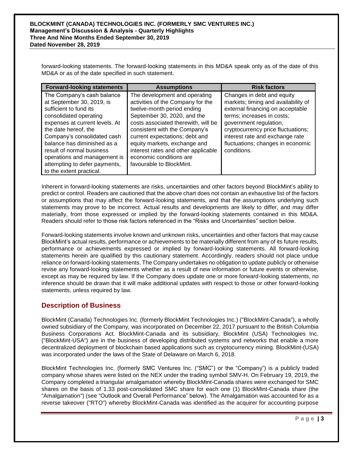forward-looking statements. The forward-looking statements in this MD&A speak only as of the date of this MD&A or as of the date specified in such statement.

| <b>Forward-looking statements</b>                                                                                                                                                                                                                                                                                                                             | <b>Assumptions</b>                                                                                                                                                                                                                                                                                                                                                      | <b>Risk factors</b>                                                                                                                                                                                                                                                                        |
|---------------------------------------------------------------------------------------------------------------------------------------------------------------------------------------------------------------------------------------------------------------------------------------------------------------------------------------------------------------|-------------------------------------------------------------------------------------------------------------------------------------------------------------------------------------------------------------------------------------------------------------------------------------------------------------------------------------------------------------------------|--------------------------------------------------------------------------------------------------------------------------------------------------------------------------------------------------------------------------------------------------------------------------------------------|
| The Company's cash balance<br>at September 30, 2019, is<br>sufficient to fund its<br>consolidated operating<br>expenses at current levels. At<br>the date hereof, the<br>Company's consolidated cash<br>balance has diminished as a<br>result of normal business<br>operations and management is<br>attempting to defer payments,<br>to the extent practical. | The development and operating<br>activities of the Company for the<br>twelve-month period ending<br>September 30, 2020, and the<br>costs associated therewith, will be<br>consistent with the Company's<br>current expectations; debt and<br>equity markets, exchange and<br>interest rates and other applicable<br>economic conditions are<br>favourable to BlockMint. | Changes in debt and equity<br>markets; timing and availability of<br>external financing on acceptable<br>terms; increases in costs;<br>government regulation,<br>cryptocurrency price fluctuations;<br>interest rate and exchange rate<br>fluctuations; changes in economic<br>conditions. |

Inherent in forward-looking statements are risks, uncertainties and other factors beyond BlockMint's ability to predict or control. Readers are cautioned that the above chart does not contain an exhaustive list of the factors or assumptions that may affect the forward-looking statements, and that the assumptions underlying such statements may prove to be incorrect. Actual results and developments are likely to differ, and may differ materially, from those expressed or implied by the forward-looking statements contained in this MD&A. Readers should refer to those risk factors referenced in the "Risks and Uncertainties" section below.

Forward-looking statements involve known and unknown risks, uncertainties and other factors that may cause BlockMint's actual results, performance or achievements to be materially different from any of its future results, performance or achievements expressed or implied by forward-looking statements. All forward-looking statements herein are qualified by this cautionary statement. Accordingly, readers should not place undue reliance on forward-looking statements. The Company undertakes no obligation to update publicly or otherwise revise any forward-looking statements whether as a result of new information or future events or otherwise, except as may be required by law. If the Company does update one or more forward-looking statements, no inference should be drawn that it will make additional updates with respect to those or other forward-looking statements, unless required by law.

## **Description of Business**

BlockMint (Canada) Technologies Inc. (formerly BlockMint Technologies Inc.) ("BlockMint-Canada"), a wholly owned subsidiary of the Company, was incorporated on December 22, 2017 pursuant to the British Columbia Business Corporations Act. BlockMint-Canada and its subsidiary, BlockMint (USA) Technologies Inc. ("BlockMint-USA") are in the business of developing distributed systems and networks that enable a more decentralized deployment of blockchain based applications such as cryptocurrency mining. BlockMint-(USA) was incorporated under the laws of the State of Delaware on March 6, 2018.

BlockMint Technologies Inc. (formerly SMC Ventures Inc. ("SMC") or the "Company") is a publicly traded company whose shares were listed on the NEX under the trading symbol SMV-H. On February 19, 2019, the Company completed a triangular amalgamation whereby BlockMint-Canada shares were exchanged for SMC shares on the basis of 1.33 post-consolidated SMC share for each one (1) BlockMint-Canada share (the "Amalgamation") (see "Outlook and Overall Performance" below). The Amalgamation was accounted for as a reverse takeover ("RTO") whereby BlockMint-Canada was identified as the acquirer for accounting purpose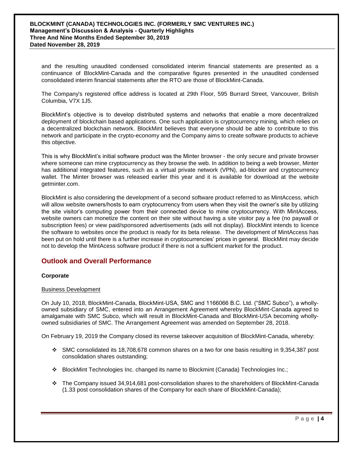#### **BLOCKMINT (CANADA) TECHNOLOGIES INC. (FORMERLY SMC VENTURES INC.) Management's Discussion & Analysis - Quarterly Highlights Three And Nine Months Ended September 30, 2019 Dated November 28, 2019**

and the resulting unaudited condensed consolidated interim financial statements are presented as a continuance of BlockMint-Canada and the comparative figures presented in the unaudited condensed consolidated interim financial statements after the RTO are those of BlockMint-Canada.

The Company's registered office address is located at 29th Floor, 595 Burrard Street, Vancouver, British Columbia, V7X 1J5.

BlockMint's objective is to develop distributed systems and networks that enable a more decentralized deployment of blockchain based applications. One such application is cryptocurrency mining, which relies on a decentralized blockchain network. BlockMint believes that everyone should be able to contribute to this network and participate in the crypto-economy and the Company aims to create software products to achieve this objective.

This is why BlockMint's initial software product was the Minter browser - the only secure and private browser where someone can mine cryptocurrency as they browse the web. In addition to being a web browser, Minter has additional integrated features, such as a virtual private network (VPN), ad-blocker and cryptocurrency wallet. The Minter browser was released earlier this year and it is available for download at the website getminter.com.

BlockMint is also considering the development of a second software product referred to as MintAccess, which will allow website owners/hosts to earn cryptocurrency from users when they visit the owner's site by utilizing the site visitor's computing power from their connected device to mine cryptocurrency. With MintAccess, website owners can monetize the content on their site without having a site visitor pay a fee (no paywall or subscription fees) or view paid/sponsored advertisements (ads will not display). BlockMint intends to licence the software to websites once the product is ready for its beta release. The development of MintAccess has been put on hold until there is a further increase in cryptocurrencies' prices in general. BlockMint may decide not to develop the MintAcess software product if there is not a sufficient market for the product.

## **Outlook and Overall Performance**

#### **Corporate**

#### Business Development

On July 10, 2018, BlockMint-Canada, BlockMint-USA, SMC and 1166066 B.C. Ltd. ("SMC Subco"), a whollyowned subsidiary of SMC, entered into an Arrangement Agreement whereby BlockMint-Canada agreed to amalgamate with SMC Subco, which will result in BlockMint-Canada and BlockMint-USA becoming whollyowned subsidiaries of SMC. The Arrangement Agreement was amended on September 28, 2018.

On February 19, 2019 the Company closed its reverse takeover acquisition of BlockMint-Canada, whereby:

- SMC consolidated its 18,708,678 common shares on a two for one basis resulting in 9,354,387 post consolidation shares outstanding;
- BlockMint Technologies Inc. changed its name to Blockmint (Canada) Technologies Inc.;
- The Company issued 34,914,681 post-consolidation shares to the shareholders of BlockMint-Canada (1.33 post consolidation shares of the Company for each share of BlockMint-Canada);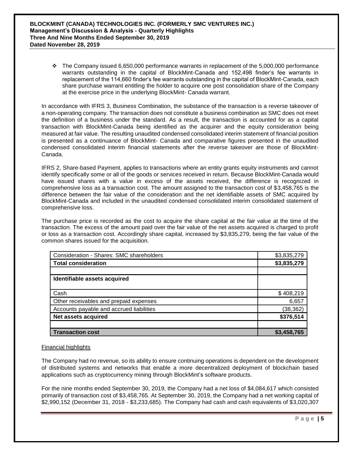$\div$  The Company issued 6,650,000 performance warrants in replacement of the 5,000,000 performance warrants outstanding in the capital of BlockMint-Canada and 152,498 finder's fee warrants in replacement of the 114,660 finder's fee warrants outstanding in the capital of BlockMint-Canada, each share purchase warrant entitling the holder to acquire one post consolidation share of the Company at the exercise price in the underlying BlockMint- Canada warrant.

In accordance with IFRS 3, Business Combination, the substance of the transaction is a reverse takeover of a non-operating company. The transaction does not constitute a business combination as SMC does not meet the definition of a business under the standard. As a result, the transaction is accounted for as a capital transaction with BlockMint-Canada being identified as the acquirer and the equity consideration being measured at fair value. The resulting unaudited condensed consolidated interim statement of financial position is presented as a continuance of BlockMint- Canada and comparative figures presented in the unaudited condensed consolidated interim financial statements after the reverse takeover are those of BlockMint-Canada.

IFRS 2, Share-based Payment, applies to transactions where an entity grants equity instruments and cannot identify specifically some or all of the goods or services received in return. Because BlockMint-Canada would have issued shares with a value in excess of the assets received, the difference is recognized in comprehensive loss as a transaction cost. The amount assigned to the transaction cost of \$3,458,765 is the difference between the fair value of the consideration and the net identifiable assets of SMC acquired by BlockMint-Canada and included in the unaudited condensed consolidated interim consolidated statement of comprehensive loss.

The purchase price is recorded as the cost to acquire the share capital at the fair value at the time of the transaction. The excess of the amount paid over the fair value of the net assets acquired is charged to profit or loss as a transaction cost. Accordingly share capital, increased by \$3,835,279, being the fair value of the common shares issued for the acquisition.

| Consideration - Shares: SMC shareholders | \$3,835,279 |
|------------------------------------------|-------------|
| <b>Total consideration</b>               | \$3,835,279 |
|                                          |             |
| Identifiable assets acquired             |             |
|                                          |             |
| Cash                                     | \$408,219   |
| Other receivables and prepaid expenses   | 6,657       |
| Accounts payable and accrued liabilities | (38, 362)   |
| Net assets acquired                      | \$376,514   |
|                                          |             |
| <b>Transaction cost</b>                  | \$3,458,765 |

### Financial highlights

The Company had no revenue, so its ability to ensure continuing operations is dependent on the development of distributed systems and networks that enable a more decentralized deployment of blockchain based applications such as cryptocurrency mining through BlockMint's software products.

For the nine months ended September 30, 2019, the Company had a net loss of \$4,084,617 which consisted primarily of transaction cost of \$3,458,765. At September 30, 2019, the Company had a net working capital of \$2,990,152 (December 31, 2018 - \$3,233,685). The Company had cash and cash equivalents of \$3,020,307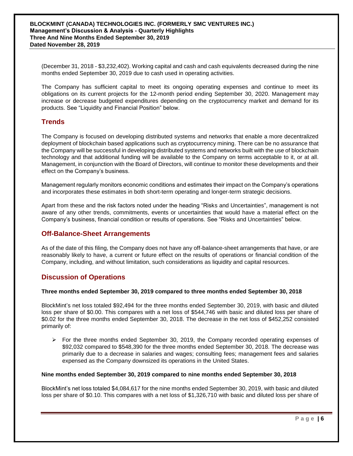(December 31, 2018 - \$3,232,402). Working capital and cash and cash equivalents decreased during the nine months ended September 30, 2019 due to cash used in operating activities.

The Company has sufficient capital to meet its ongoing operating expenses and continue to meet its obligations on its current projects for the 12-month period ending September 30, 2020. Management may increase or decrease budgeted expenditures depending on the cryptocurrency market and demand for its products. See "Liquidity and Financial Position" below.

## **Trends**

The Company is focused on developing distributed systems and networks that enable a more decentralized deployment of blockchain based applications such as cryptocurrency mining. There can be no assurance that the Company will be successful in developing distributed systems and networks built with the use of blockchain technology and that additional funding will be available to the Company on terms acceptable to it, or at all. Management, in conjunction with the Board of Directors, will continue to monitor these developments and their effect on the Company's business.

Management regularly monitors economic conditions and estimates their impact on the Company's operations and incorporates these estimates in both short-term operating and longer-term strategic decisions.

Apart from these and the risk factors noted under the heading "Risks and Uncertainties", management is not aware of any other trends, commitments, events or uncertainties that would have a material effect on the Company's business, financial condition or results of operations. See "Risks and Uncertainties" below.

## **Off-Balance-Sheet Arrangements**

As of the date of this filing, the Company does not have any off-balance-sheet arrangements that have, or are reasonably likely to have, a current or future effect on the results of operations or financial condition of the Company, including, and without limitation, such considerations as liquidity and capital resources.

## **Discussion of Operations**

#### **Three months ended September 30, 2019 compared to three months ended September 30, 2018**

BlockMint's net loss totaled \$92,494 for the three months ended September 30, 2019, with basic and diluted loss per share of \$0.00. This compares with a net loss of \$544,746 with basic and diluted loss per share of \$0.02 for the three months ended September 30, 2018. The decrease in the net loss of \$452,252 consisted primarily of:

 $\triangleright$  For the three months ended September 30, 2019, the Company recorded operating expenses of \$92,032 compared to \$548,390 for the three months ended September 30, 2018. The decrease was primarily due to a decrease in salaries and wages; consulting fees; management fees and salaries expensed as the Company downsized its operations in the United States.

#### **Nine months ended September 30, 2019 compared to nine months ended September 30, 2018**

BlockMint's net loss totaled \$4,084,617 for the nine months ended September 30, 2019, with basic and diluted loss per share of \$0.10. This compares with a net loss of \$1,326,710 with basic and diluted loss per share of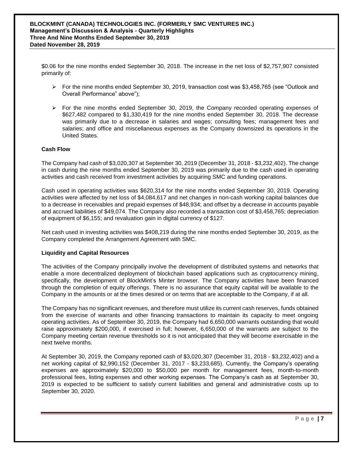\$0.06 for the nine months ended September 30, 2018. The increase in the net loss of \$2,757,907 consisted primarily of:

- $\triangleright$  For the nine months ended September 30, 2019, transaction cost was \$3,458,765 (see "Outlook and Overall Performance" above");
- $\triangleright$  For the nine months ended September 30, 2019, the Company recorded operating expenses of \$627,482 compared to \$1,330,419 for the nine months ended September 30, 2018. The decrease was primarily due to a decrease in salaries and wages; consulting fees; management fees and salaries; and office and miscellaneous expenses as the Company downsized its operations in the United States.

#### **Cash Flow**

The Company had cash of \$3,020,307 at September 30, 2019 (December 31, 2018 - \$3,232,402). The change in cash during the nine months ended September 30, 2019 was primarily due to the cash used in operating activities and cash received from investment activities by acquiring SMC and funding operations.

Cash used in operating activities was \$620,314 for the nine months ended September 30, 2019. Operating activities were affected by net loss of \$4,084,617 and net changes in non-cash working capital balances due to a decrease in receivables and prepaid expenses of \$48,934; and offset by a decrease in accounts payable and accrued liabilities of \$49,074. The Company also recorded a transaction cost of \$3,458,765; depreciation of equipment of \$6,155; and revaluation gain in digital currency of \$127.

Net cash used in investing activities was \$408,219 during the nine months ended September 30, 2019, as the Company completed the Arrangement Agreement with SMC.

#### **Liquidity and Capital Resources**

The activities of the Company principally involve the development of distributed systems and networks that enable a more decentralized deployment of blockchain based applications such as cryptocurrency mining, specifically, the development of BlockMint's Minter browser. The Company activities have been financed through the completion of equity offerings. There is no assurance that equity capital will be available to the Company in the amounts or at the times desired or on terms that are acceptable to the Company, if at all.

The Company has no significant revenues, and therefore must utilize its current cash reserves, funds obtained from the exercise of warrants and other financing transactions to maintain its capacity to meet ongoing operating activities. As of September 30, 2019, the Company had 6,650,000 warrants outstanding that would raise approximately \$200,000, if exercised in full; however, 6,650,000 of the warrants are subject to the Company meeting certain revenue thresholds so it is not anticipated that they will become exercisable in the next twelve months.

At September 30, 2019, the Company reported cash of \$3,020,307 (December 31, 2018 - \$3,232,402) and a net working capital of \$2,990,152 (December 31, 2017 - \$3,233,685). Currently, the Company's operating expenses are approximately \$20,000 to \$50,000 per month for management fees, month-to-month professional fees, listing expenses and other working expenses. The Company's cash as at September 30, 2019 is expected to be sufficient to satisfy current liabilities and general and administrative costs up to September 30, 2020.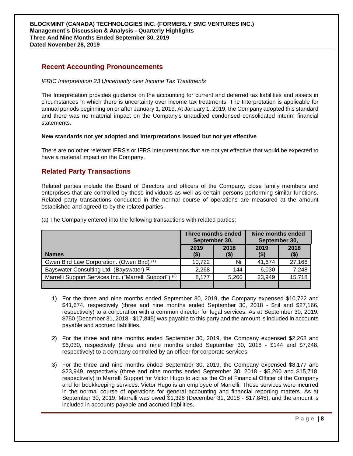## **Recent Accounting Pronouncements**

#### *IFRIC Interpretation 23 Uncertainty over Income Tax Treatments*

The Interpretation provides guidance on the accounting for current and deferred tax liabilities and assets in circumstances in which there is uncertainty over income tax treatments. The Interpretation is applicable for annual periods beginning on or after January 1, 2019. At January 1, 2019, the Company adopted this standard and there was no material impact on the Company's unaudited condensed consolidated interim financial statements.

#### **New standards not yet adopted and interpretations issued but not yet effective**

There are no other relevant IFRS's or IFRS interpretations that are not yet effective that would be expected to have a material impact on the Company.

## **Related Party Transactions**

Related parties include the Board of Directors and officers of the Company, close family members and enterprises that are controlled by these individuals as well as certain persons performing similar functions. Related party transactions conducted in the normal course of operations are measured at the amount established and agreed to by the related parties.

|                                                         | Three months ended<br>September 30, |                 | Nine months ended<br>September 30, |                 |
|---------------------------------------------------------|-------------------------------------|-----------------|------------------------------------|-----------------|
| <b>Names</b>                                            | 2019<br>(\$)                        | 2018<br>$($ \$) | 2019<br>(S)                        | 2018<br>$($ \$) |
| Owen Bird Law Corporation. (Owen Bird) <sup>(1)</sup>   | 10,722                              | Nil             | 41.674                             | 27,166          |
| Bayswater Consulting Ltd. (Bayswater) (2)               | 2,268                               | 144             | 6,030                              | 7,248           |
| Marrelli Support Services Inc. ("Marrelli Support") (3) | 8,177                               | 5,260           | 23,949                             | 15,718          |
|                                                         |                                     |                 |                                    |                 |

(a) The Company entered into the following transactions with related parties:

- 1) For the three and nine months ended September 30, 2019, the Company expensed \$10,722 and \$41,674, respectively (three and nine months ended September 30, 2018 - \$nil and \$27,166, respectively) to a corporation with a common director for legal services. As at September 30, 2019, \$750 (December 31, 2018 - \$17,845) was payable to this party and the amount is included in accounts payable and accrued liabilities.
- 2) For the three and nine months ended September 30, 2019, the Company expensed \$2,268 and \$6,030, respectively (three and nine months ended September 30, 2018 - \$144 and \$7,248, respectively) to a company controlled by an officer for corporate services.
- 3) For the three and nine months ended September 30, 2019, the Company expensed \$8,177 and \$23,949, respectively (three and nine months ended September 30, 2018 - \$5,260 and \$15,718, respectively) to Marrelli Support for Victor Hugo to act as the Chief Financial Officer of the Company and for bookkeeping services. Victor Hugo is an employee of Marrelli. These services were incurred in the normal course of operations for general accounting and financial reporting matters. As at September 30, 2019, Marrelli was owed \$1,328 (December 31, 2018 - \$17,845), and the amount is included in accounts payable and accrued liabilities.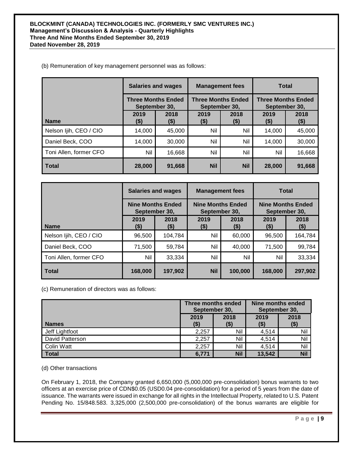#### (b) Remuneration of key management personnel was as follows:

|                        | <b>Salaries and wages</b><br><b>Three Months Ended</b><br>September 30, |              | <b>Management fees</b><br><b>Three Months Ended</b><br>September 30, |                 | <b>Total</b>                               |                 |
|------------------------|-------------------------------------------------------------------------|--------------|----------------------------------------------------------------------|-----------------|--------------------------------------------|-----------------|
|                        |                                                                         |              |                                                                      |                 | <b>Three Months Ended</b><br>September 30, |                 |
| <b>Name</b>            | 2019<br>$($ \$)                                                         | 2018<br>(\$) | 2019<br>(\$)                                                         | 2018<br>$($ \$) | 2019<br>(\$)                               | 2018<br>$($ \$) |
| Nelson Ijih, CEO / CIO | 14,000                                                                  | 45,000       | Nil                                                                  | Nil             | 14,000                                     | 45,000          |
| Daniel Beck, COO       | 14,000                                                                  | 30,000       | Nil                                                                  | Nil             | 14.000                                     | 30,000          |
| Toni Allen, former CFO | Nil                                                                     | 16,668       | Nil                                                                  | Nil             | Nil                                        | 16,668          |
| l Total                | 28,000                                                                  | 91,668       | <b>Nil</b>                                                           | <b>Nil</b>      | 28,000                                     | 91,668          |

|                        | <b>Salaries and wages</b>                 |                 | <b>Management fees</b>                    |                 | Total                                     |                 |
|------------------------|-------------------------------------------|-----------------|-------------------------------------------|-----------------|-------------------------------------------|-----------------|
|                        | <b>Nine Months Ended</b><br>September 30, |                 | <b>Nine Months Ended</b><br>September 30, |                 | <b>Nine Months Ended</b><br>September 30, |                 |
| <b>Name</b>            | 2019<br>(\$)                              | 2018<br>$($ \$) | 2019<br>$($ \$)                           | 2018<br>$($ \$) | 2019<br>(\$)                              | 2018<br>$($ \$) |
| Nelson Ijih, CEO / CIO | 96,500                                    | 104,784         | Nil                                       | 60,000          | 96,500                                    | 164,784         |
| Daniel Beck, COO       | 71,500                                    | 59,784          | Nil                                       | 40,000          | 71,500                                    | 99,784          |
| Toni Allen, former CFO | Nil                                       | 33,334          | Nil                                       | Nil             | Nil                                       | 33,334          |
| <b>Total</b>           | 168,000                                   | 197,902         | <b>Nil</b>                                | 100,000         | 168,000                                   | 297,902         |

(c) Remuneration of directors was as follows:

|                   | Three months ended<br>September 30, |                 | Nine months ended<br>September 30, |                |
|-------------------|-------------------------------------|-----------------|------------------------------------|----------------|
| <b>Names</b>      | 2019<br>(\$)                        | 2018<br>$($ \$) | 2019<br>(\$)                       | 2018<br>( \$ ) |
| Jeff Lightfoot    | 2,257                               | Nil             | 4,514                              | Nil            |
| David Patterson   | 2,257                               | Nil             | 4,514                              | Nil            |
| <b>Colin Watt</b> | 2,257                               | Nil             | 4,514                              | Nil            |
| <b>Total</b>      | 6,771                               | <b>Nil</b>      | 13,542                             | <b>Nil</b>     |

(d) Other transactions

On February 1, 2018, the Company granted 6,650,000 (5,000,000 pre-consolidation) bonus warrants to two officers at an exercise price of CDN\$0.05 (USD0.04 pre-consolidation) for a period of 5 years from the date of issuance. The warrants were issued in exchange for all rights in the Intellectual Property, related to U.S. Patent Pending No. 15/848.583. 3,325,000 (2,500,000 pre-consolidation) of the bonus warrants are eligible for